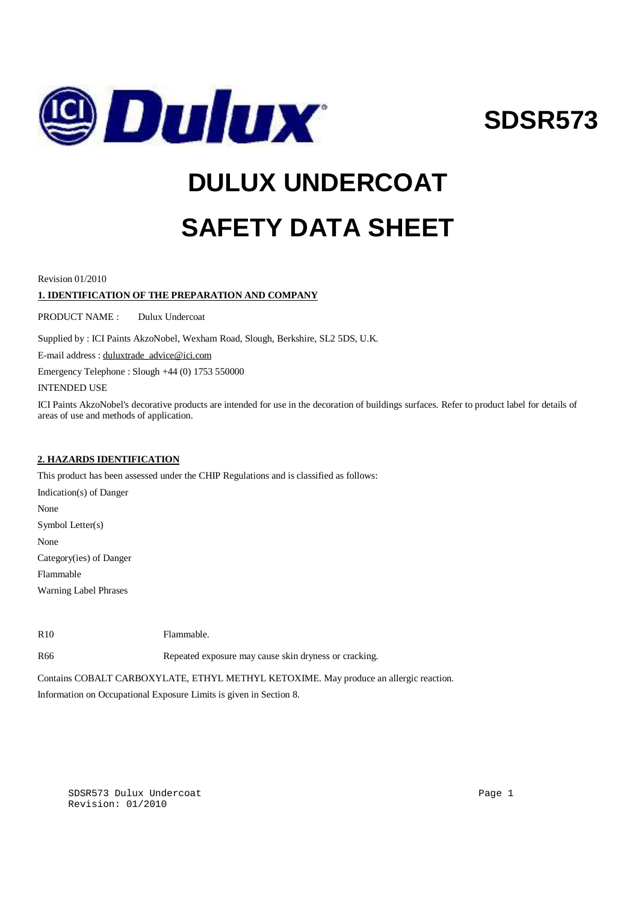

**SDSR573**

# **DULUX UNDERCOAT SAFETY DATA SHEET**

Revision 01/2010

# **1. IDENTIFICATION OF THE PREPARATION AND COMPANY**

PRODUCT NAME : Dulux Undercoat

Supplied by : ICI Paints AkzoNobel, Wexham Road, Slough, Berkshire, SL2 5DS, U.K.

E-mail address : [duluxtrade\\_advice@ici.com](mailto:duluxtrade_advice@ici.com)

Emergency Telephone : Slough +44 (0) 1753 550000

INTENDED USE

ICI Paints AkzoNobel's decorative products are intended for use in the decoration of buildings surfaces. Refer to product label for details of areas of use and methods of application.

# **2. HAZARDS IDENTIFICATION**

This product has been assessed under the CHIP Regulations and is classified as follows:

Indication(s) of Danger None Symbol Letter(s) None Category(ies) of Danger Flammable Warning Label Phrases

R10 Flammable.

R66 Repeated exposure may cause skin dryness or cracking.

Contains COBALT CARBOXYLATE, ETHYL METHYL KETOXIME. May produce an allergic reaction.

Information on Occupational Exposure Limits is given in Section 8.

SDSR573 Dulux Undercoat Page 1 (1999) and the Page 1 (1999) and the Page 1 (1999) and the Page 1 (1999) and the Page 1 Revision: 01/2010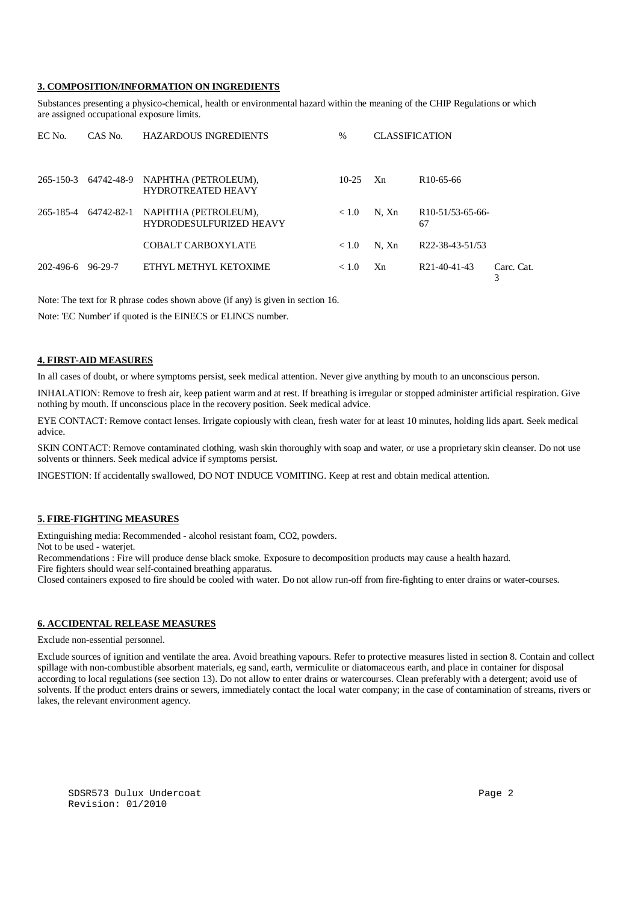#### **3. COMPOSITION/INFORMATION ON INGREDIENTS**

Substances presenting a physico-chemical, health or environmental hazard within the meaning of the CHIP Regulations or which are assigned occupational exposure limits.

| EC No.    | CAS No.    | <b>HAZARDOUS INGREDIENTS</b>                           | $\%$    | <b>CLASSIFICATION</b> |                                     |                 |
|-----------|------------|--------------------------------------------------------|---------|-----------------------|-------------------------------------|-----------------|
| 265-150-3 | 64742-48-9 | NAPHTHA (PETROLEUM),<br><b>HYDROTREATED HEAVY</b>      | $10-25$ | Xn                    | R <sub>10</sub> -65-66              |                 |
| 265-185-4 | 64742-82-1 | NAPHTHA (PETROLEUM),<br><b>HYDRODESULFURIZED HEAVY</b> | < 1.0   | N. Xn                 | R <sub>10</sub> -51/53-65-66-<br>67 |                 |
|           |            | COBALT CARBOXYLATE                                     | < 1.0   | N. Xn                 | R <sub>22</sub> -38-43-51/53        |                 |
| 202-496-6 | 96-29-7    | ETHYL METHYL KETOXIME                                  | < 1.0   | Xn                    | R21-40-41-43                        | Carc. Cat.<br>⌒ |

Note: The text for R phrase codes shown above (if any) is given in section 16.

Note: 'EC Number' if quoted is the EINECS or ELINCS number.

## **4. FIRST-AID MEASURES**

In all cases of doubt, or where symptoms persist, seek medical attention. Never give anything by mouth to an unconscious person.

INHALATION: Remove to fresh air, keep patient warm and at rest. If breathing is irregular or stopped administer artificial respiration. Give nothing by mouth. If unconscious place in the recovery position. Seek medical advice.

EYE CONTACT: Remove contact lenses. Irrigate copiously with clean, fresh water for at least 10 minutes, holding lids apart. Seek medical advice.

SKIN CONTACT: Remove contaminated clothing, wash skin thoroughly with soap and water, or use a proprietary skin cleanser. Do not use solvents or thinners. Seek medical advice if symptoms persist.

INGESTION: If accidentally swallowed, DO NOT INDUCE VOMITING. Keep at rest and obtain medical attention.

#### **5. FIRE-FIGHTING MEASURES**

Extinguishing media: Recommended - alcohol resistant foam, CO2, powders.

Not to be used - waterjet.

Recommendations : Fire will produce dense black smoke. Exposure to decomposition products may cause a health hazard.

Fire fighters should wear self-contained breathing apparatus.

Closed containers exposed to fire should be cooled with water. Do not allow run-off from fire-fighting to enter drains or water-courses.

#### **6. ACCIDENTAL RELEASE MEASURES**

Exclude non-essential personnel.

Exclude sources of ignition and ventilate the area. Avoid breathing vapours. Refer to protective measures listed in section 8. Contain and collect spillage with non-combustible absorbent materials, eg sand, earth, vermiculite or diatomaceous earth, and place in container for disposal according to local regulations (see section 13). Do not allow to enter drains or watercourses. Clean preferably with a detergent; avoid use of solvents. If the product enters drains or sewers, immediately contact the local water company; in the case of contamination of streams, rivers or lakes, the relevant environment agency.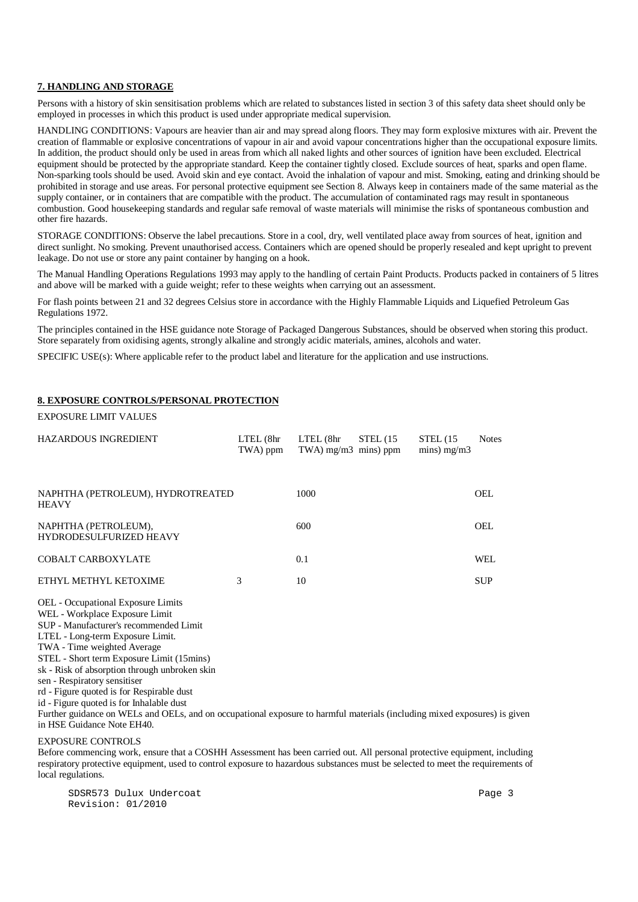#### **7. HANDLING AND STORAGE**

Persons with a history of skin sensitisation problems which are related to substances listed in section 3 of this safety data sheet should only be employed in processes in which this product is used under appropriate medical supervision.

HANDLING CONDITIONS: Vapours are heavier than air and may spread along floors. They may form explosive mixtures with air. Prevent the creation of flammable or explosive concentrations of vapour in air and avoid vapour concentrations higher than the occupational exposure limits. In addition, the product should only be used in areas from which all naked lights and other sources of ignition have been excluded. Electrical equipment should be protected by the appropriate standard. Keep the container tightly closed. Exclude sources of heat, sparks and open flame. Non-sparking tools should be used. Avoid skin and eye contact. Avoid the inhalation of vapour and mist. Smoking, eating and drinking should be prohibited in storage and use areas. For personal protective equipment see Section 8. Always keep in containers made of the same material as the supply container, or in containers that are compatible with the product. The accumulation of contaminated rags may result in spontaneous combustion. Good housekeeping standards and regular safe removal of waste materials will minimise the risks of spontaneous combustion and other fire hazards.

STORAGE CONDITIONS: Observe the label precautions. Store in a cool, dry, well ventilated place away from sources of heat, ignition and direct sunlight. No smoking. Prevent unauthorised access. Containers which are opened should be properly resealed and kept upright to prevent leakage. Do not use or store any paint container by hanging on a hook.

The Manual Handling Operations Regulations 1993 may apply to the handling of certain Paint Products. Products packed in containers of 5 litres and above will be marked with a guide weight; refer to these weights when carrying out an assessment.

For flash points between 21 and 32 degrees Celsius store in accordance with the Highly Flammable Liquids and Liquefied Petroleum Gas Regulations 1972.

The principles contained in the HSE guidance note Storage of Packaged Dangerous Substances, should be observed when storing this product. Store separately from oxidising agents, strongly alkaline and strongly acidic materials, amines, alcohols and water.

SPECIFIC USE(s): Where applicable refer to the product label and literature for the application and use instructions.

# **8. EXPOSURE CONTROLS/PERSONAL PROTECTION**

#### EXPOSURE LIMIT VALUES

| $LTEL$ ( $8hr$ )<br>TWA) ppm      | LTEL (8hr | STEL(15) | STEL(15)<br>mins) $mg/m3$ | <b>Notes</b> |
|-----------------------------------|-----------|----------|---------------------------|--------------|
| NAPHTHA (PETROLEUM), HYDROTREATED | 1000      |          |                           | <b>OEL</b>   |
|                                   | 600       |          |                           | <b>OEL</b>   |
|                                   | 0.1       |          |                           | WEL.         |
| 3                                 | 10        |          |                           | <b>SUP</b>   |
|                                   |           |          | TWA) $mg/m3$ mins) ppm    |              |

OEL - Occupational Exposure Limits WEL - Workplace Exposure Limit

SUP - Manufacturer's recommended Limit

LTEL - Long-term Exposure Limit.

TWA - Time weighted Average

STEL - Short term Exposure Limit (15mins)

sk - Risk of absorption through unbroken skin

sen - Respiratory sensitiser

rd - Figure quoted is for Respirable dust

id - Figure quoted is for Inhalable dust

Further guidance on WELs and OELs, and on occupational exposure to harmful materials (including mixed exposures) is given in HSE Guidance Note EH40.

#### EXPOSURE CONTROLS

Before commencing work, ensure that a COSHH Assessment has been carried out. All personal protective equipment, including respiratory protective equipment, used to control exposure to hazardous substances must be selected to meet the requirements of local regulations.

SDSR573 Dulux Undercoat Page 3 Revision: 01/2010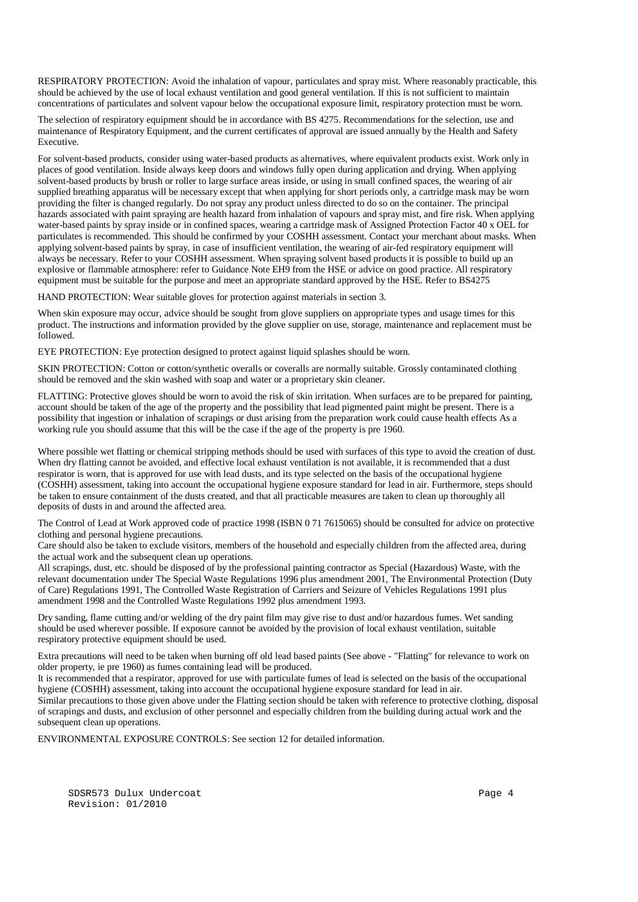RESPIRATORY PROTECTION: Avoid the inhalation of vapour, particulates and spray mist. Where reasonably practicable, this should be achieved by the use of local exhaust ventilation and good general ventilation. If this is not sufficient to maintain concentrations of particulates and solvent vapour below the occupational exposure limit, respiratory protection must be worn.

The selection of respiratory equipment should be in accordance with BS 4275. Recommendations for the selection, use and maintenance of Respiratory Equipment, and the current certificates of approval are issued annually by the Health and Safety Executive.

For solvent-based products, consider using water-based products as alternatives, where equivalent products exist. Work only in places of good ventilation. Inside always keep doors and windows fully open during application and drying. When applying solvent-based products by brush or roller to large surface areas inside, or using in small confined spaces, the wearing of air supplied breathing apparatus will be necessary except that when applying for short periods only, a cartridge mask may be worn providing the filter is changed regularly. Do not spray any product unless directed to do so on the container. The principal hazards associated with paint spraying are health hazard from inhalation of vapours and spray mist, and fire risk. When applying water-based paints by spray inside or in confined spaces, wearing a cartridge mask of Assigned Protection Factor 40 x OEL for particulates is recommended. This should be confirmed by your COSHH assessment. Contact your merchant about masks. When applying solvent-based paints by spray, in case of insufficient ventilation, the wearing of air-fed respiratory equipment will always be necessary. Refer to your COSHH assessment. When spraying solvent based products it is possible to build up an explosive or flammable atmosphere: refer to Guidance Note EH9 from the HSE or advice on good practice. All respiratory equipment must be suitable for the purpose and meet an appropriate standard approved by the HSE. Refer to BS4275

HAND PROTECTION: Wear suitable gloves for protection against materials in section 3.

When skin exposure may occur, advice should be sought from glove suppliers on appropriate types and usage times for this product. The instructions and information provided by the glove supplier on use, storage, maintenance and replacement must be followed.

EYE PROTECTION: Eye protection designed to protect against liquid splashes should be worn.

SKIN PROTECTION: Cotton or cotton/synthetic overalls or coveralls are normally suitable. Grossly contaminated clothing should be removed and the skin washed with soap and water or a proprietary skin cleaner.

FLATTING: Protective gloves should be worn to avoid the risk of skin irritation. When surfaces are to be prepared for painting, account should be taken of the age of the property and the possibility that lead pigmented paint might be present. There is a possibility that ingestion or inhalation of scrapings or dust arising from the preparation work could cause health effects As a working rule you should assume that this will be the case if the age of the property is pre 1960.

Where possible wet flatting or chemical stripping methods should be used with surfaces of this type to avoid the creation of dust. When dry flatting cannot be avoided, and effective local exhaust ventilation is not available, it is recommended that a dust respirator is worn, that is approved for use with lead dusts, and its type selected on the basis of the occupational hygiene (COSHH) assessment, taking into account the occupational hygiene exposure standard for lead in air. Furthermore, steps should be taken to ensure containment of the dusts created, and that all practicable measures are taken to clean up thoroughly all deposits of dusts in and around the affected area.

The Control of Lead at Work approved code of practice 1998 (ISBN 0 71 7615065) should be consulted for advice on protective clothing and personal hygiene precautions.

Care should also be taken to exclude visitors, members of the household and especially children from the affected area, during the actual work and the subsequent clean up operations.

All scrapings, dust, etc. should be disposed of by the professional painting contractor as Special (Hazardous) Waste, with the relevant documentation under The Special Waste Regulations 1996 plus amendment 2001, The Environmental Protection (Duty of Care) Regulations 1991, The Controlled Waste Registration of Carriers and Seizure of Vehicles Regulations 1991 plus amendment 1998 and the Controlled Waste Regulations 1992 plus amendment 1993.

Dry sanding, flame cutting and/or welding of the dry paint film may give rise to dust and/or hazardous fumes. Wet sanding should be used wherever possible. If exposure cannot be avoided by the provision of local exhaust ventilation, suitable respiratory protective equipment should be used.

Extra precautions will need to be taken when burning off old lead based paints (See above - "Flatting" for relevance to work on older property, ie pre 1960) as fumes containing lead will be produced.

It is recommended that a respirator, approved for use with particulate fumes of lead is selected on the basis of the occupational hygiene (COSHH) assessment, taking into account the occupational hygiene exposure standard for lead in air.

Similar precautions to those given above under the Flatting section should be taken with reference to protective clothing, disposal of scrapings and dusts, and exclusion of other personnel and especially children from the building during actual work and the subsequent clean up operations.

ENVIRONMENTAL EXPOSURE CONTROLS: See section 12 for detailed information.

SDSR573 Dulux Undercoat Page 4 Revision: 01/2010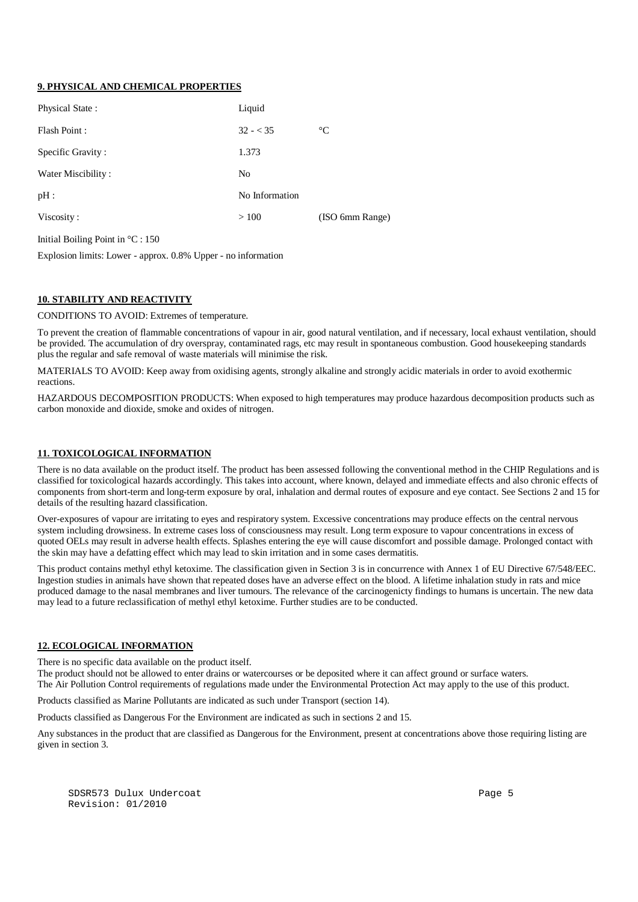# **9. PHYSICAL AND CHEMICAL PROPERTIES**

| Physical State:    | Liquid         |                 |
|--------------------|----------------|-----------------|
| Flash Point:       | $32 - 35$      | $\rm ^{\circ}C$ |
| Specific Gravity:  | 1.373          |                 |
| Water Miscibility: | N <sub>0</sub> |                 |
| pH:                | No Information |                 |
| Viscosity:         | >100           | (ISO 6mm Range) |
|                    |                |                 |

Initial Boiling Point in °C : 150

Explosion limits: Lower - approx. 0.8% Upper - no information

# **10. STABILITY AND REACTIVITY**

CONDITIONS TO AVOID: Extremes of temperature.

To prevent the creation of flammable concentrations of vapour in air, good natural ventilation, and if necessary, local exhaust ventilation, should be provided. The accumulation of dry overspray, contaminated rags, etc may result in spontaneous combustion. Good housekeeping standards plus the regular and safe removal of waste materials will minimise the risk.

MATERIALS TO AVOID: Keep away from oxidising agents, strongly alkaline and strongly acidic materials in order to avoid exothermic reactions.

HAZARDOUS DECOMPOSITION PRODUCTS: When exposed to high temperatures may produce hazardous decomposition products such as carbon monoxide and dioxide, smoke and oxides of nitrogen.

# **11. TOXICOLOGICAL INFORMATION**

There is no data available on the product itself. The product has been assessed following the conventional method in the CHIP Regulations and is classified for toxicological hazards accordingly. This takes into account, where known, delayed and immediate effects and also chronic effects of components from short-term and long-term exposure by oral, inhalation and dermal routes of exposure and eye contact. See Sections 2 and 15 for details of the resulting hazard classification.

Over-exposures of vapour are irritating to eyes and respiratory system. Excessive concentrations may produce effects on the central nervous system including drowsiness. In extreme cases loss of consciousness may result. Long term exposure to vapour concentrations in excess of quoted OELs may result in adverse health effects. Splashes entering the eye will cause discomfort and possible damage. Prolonged contact with the skin may have a defatting effect which may lead to skin irritation and in some cases dermatitis.

This product contains methyl ethyl ketoxime. The classification given in Section 3 is in concurrence with Annex 1 of EU Directive 67/548/EEC. Ingestion studies in animals have shown that repeated doses have an adverse effect on the blood. A lifetime inhalation study in rats and mice produced damage to the nasal membranes and liver tumours. The relevance of the carcinogenicty findings to humans is uncertain. The new data may lead to a future reclassification of methyl ethyl ketoxime. Further studies are to be conducted.

#### **12. ECOLOGICAL INFORMATION**

There is no specific data available on the product itself.

The product should not be allowed to enter drains or watercourses or be deposited where it can affect ground or surface waters. The Air Pollution Control requirements of regulations made under the Environmental Protection Act may apply to the use of this product.

Products classified as Marine Pollutants are indicated as such under Transport (section 14).

Products classified as Dangerous For the Environment are indicated as such in sections 2 and 15.

Any substances in the product that are classified as Dangerous for the Environment, present at concentrations above those requiring listing are given in section 3.

SDSR573 Dulux Undercoat Page 5 Revision: 01/2010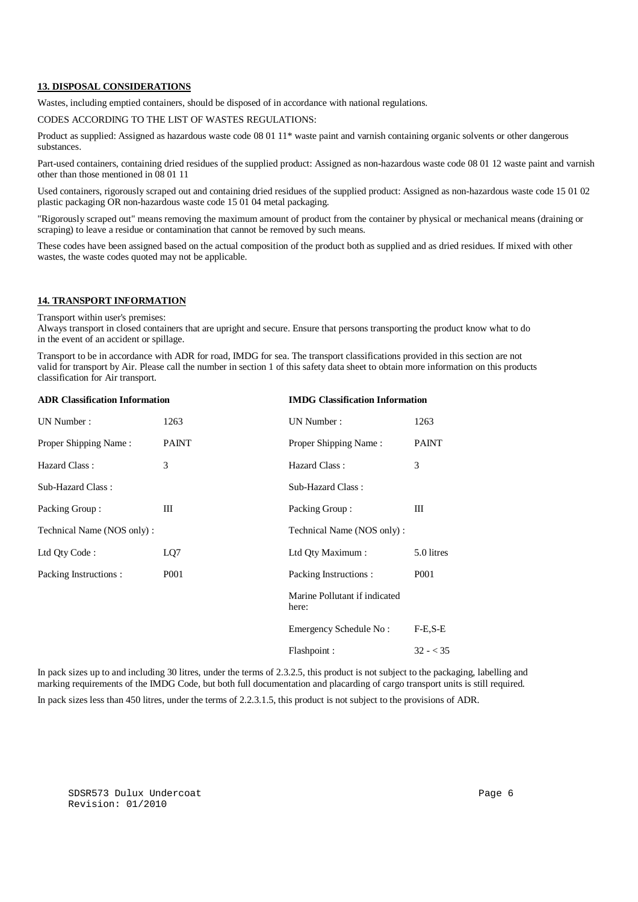#### **13. DISPOSAL CONSIDERATIONS**

Wastes, including emptied containers, should be disposed of in accordance with national regulations.

#### CODES ACCORDING TO THE LIST OF WASTES REGULATIONS:

Product as supplied: Assigned as hazardous waste code 08 01 11\* waste paint and varnish containing organic solvents or other dangerous substances.

Part-used containers, containing dried residues of the supplied product: Assigned as non-hazardous waste code 08 01 12 waste paint and varnish other than those mentioned in 08 01 11

Used containers, rigorously scraped out and containing dried residues of the supplied product: Assigned as non-hazardous waste code 15 01 02 plastic packaging OR non-hazardous waste code 15 01 04 metal packaging.

"Rigorously scraped out" means removing the maximum amount of product from the container by physical or mechanical means (draining or scraping) to leave a residue or contamination that cannot be removed by such means.

These codes have been assigned based on the actual composition of the product both as supplied and as dried residues. If mixed with other wastes, the waste codes quoted may not be applicable.

# **14. TRANSPORT INFORMATION**

#### Transport within user's premises:

Always transport in closed containers that are upright and secure. Ensure that persons transporting the product know what to do in the event of an accident or spillage.

Transport to be in accordance with ADR for road, IMDG for sea. The transport classifications provided in this section are not valid for transport by Air. Please call the number in section 1 of this safety data sheet to obtain more information on this products classification for Air transport.

| <b>ADR Classification Information</b> |                  | <b>IMDG</b> Classification Information |                  |  |
|---------------------------------------|------------------|----------------------------------------|------------------|--|
| UN Number:                            | 1263             | UN Number:                             | 1263             |  |
| Proper Shipping Name:                 | <b>PAINT</b>     | Proper Shipping Name:                  | <b>PAINT</b>     |  |
| Hazard Class:                         | 3                | Hazard Class:                          | 3                |  |
| Sub-Hazard Class:                     |                  | Sub-Hazard Class:                      |                  |  |
| Packing Group:                        | Ш                | Packing Group:                         | Ш                |  |
| Technical Name (NOS only):            |                  | Technical Name (NOS only):             |                  |  |
| Ltd Qty Code:                         | LQ7              | Ltd Qty Maximum:                       | 5.0 litres       |  |
| Packing Instructions :                | P <sub>001</sub> | Packing Instructions:                  | P <sub>001</sub> |  |
|                                       |                  | Marine Pollutant if indicated<br>here: |                  |  |
|                                       |                  | Emergency Schedule No:                 | $F-E.S-E$        |  |
|                                       |                  | Flashpoint:                            | $32 - 35$        |  |

In pack sizes up to and including 30 litres, under the terms of 2.3.2.5, this product is not subject to the packaging, labelling and marking requirements of the IMDG Code, but both full documentation and placarding of cargo transport units is still required.

In pack sizes less than 450 litres, under the terms of 2.2.3.1.5, this product is not subject to the provisions of ADR.

SDSR573 Dulux Undercoat Page 6 Revision: 01/2010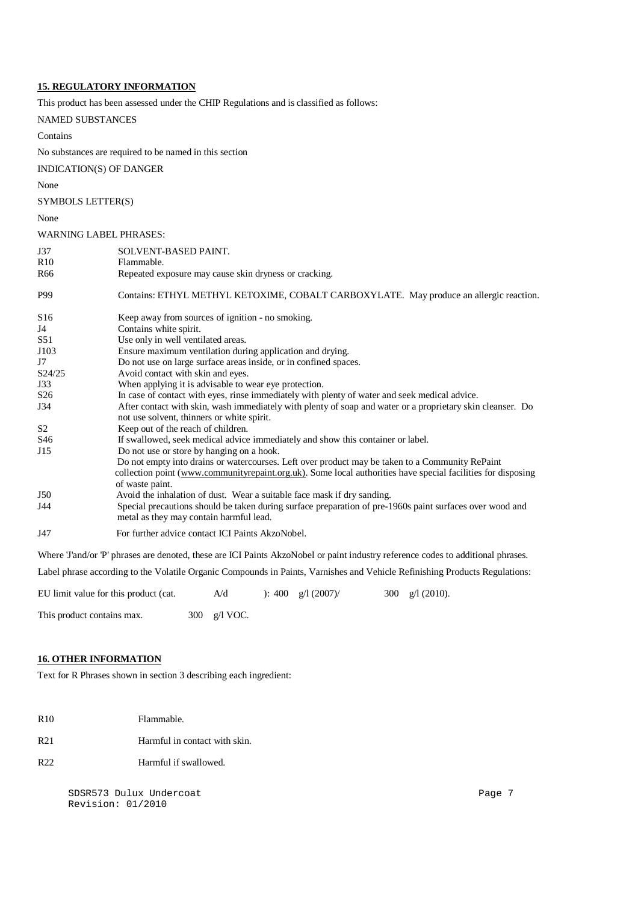# **15. REGULATORY INFORMATION**

This product has been assessed under the CHIP Regulations and is classified as follows:

#### NAMED SUBSTANCES

Contains

No substances are required to be named in this section

INDICATION(S) OF DANGER

#### None

SYMBOLS LETTER(S)

None

#### WARNING LABEL PHRASES:

| J37             | SOLVENT-BASED PAINT.                                                                                                                                                                                                               |
|-----------------|------------------------------------------------------------------------------------------------------------------------------------------------------------------------------------------------------------------------------------|
| R10             | Flammable.                                                                                                                                                                                                                         |
| R <sub>66</sub> | Repeated exposure may cause skin dryness or cracking.                                                                                                                                                                              |
| P99             | Contains: ETHYL METHYL KETOXIME, COBALT CARBOXYLATE. May produce an allergic reaction.                                                                                                                                             |
| S <sub>16</sub> | Keep away from sources of ignition - no smoking.                                                                                                                                                                                   |
| J4              | Contains white spirit.                                                                                                                                                                                                             |
| S51             | Use only in well ventilated areas.                                                                                                                                                                                                 |
| J103            | Ensure maximum ventilation during application and drying.                                                                                                                                                                          |
| J7              | Do not use on large surface areas inside, or in confined spaces.                                                                                                                                                                   |
| S24/25          | Avoid contact with skin and eyes.                                                                                                                                                                                                  |
| J33             | When applying it is advisable to wear eye protection.                                                                                                                                                                              |
| S <sub>26</sub> | In case of contact with eyes, rinse immediately with plenty of water and seek medical advice.                                                                                                                                      |
| J34             | After contact with skin, wash immediately with plenty of soap and water or a proprietary skin cleanser. Do<br>not use solvent, thinners or white spirit.                                                                           |
| S <sub>2</sub>  | Keep out of the reach of children.                                                                                                                                                                                                 |
| S46             | If swallowed, seek medical advice immediately and show this container or label.                                                                                                                                                    |
| J15             | Do not use or store by hanging on a hook.                                                                                                                                                                                          |
|                 | Do not empty into drains or watercourses. Left over product may be taken to a Community RePaint<br>collection point (www.communityrepaint.org.uk). Some local authorities have special facilities for disposing<br>of waste paint. |
| J50             | Avoid the inhalation of dust. Wear a suitable face mask if dry sanding.                                                                                                                                                            |
| J44             | Special precautions should be taken during surface preparation of pre-1960s paint surfaces over wood and<br>metal as they may contain harmful lead.                                                                                |
| J47             | For further advice contact ICI Paints AkzoNobel.                                                                                                                                                                                   |
|                 | Where Tand/or P' phrases are denoted, these are ICI Paints AkzoNobel or paint industry reference codes to additional phrases.                                                                                                      |

Label phrase according to the Volatile Organic Compounds in Paints, Varnishes and Vehicle Refinishing Products Regulations:

EU limit value for this product (cat.  $A/d$  ): 400 g/l (2007)/ 300 g/l (2010).

This product contains max.  $300 \text{ g/l} \text{ VOC}.$ 

# **16. OTHER INFORMATION**

Text for R Phrases shown in section 3 describing each ingredient:

- R<sub>10</sub> Flammable.
- R21 Harmful in contact with skin.
- R22 Harmful if swallowed.

SDSR573 Dulux Undercoat Page 7 Revision: 01/2010